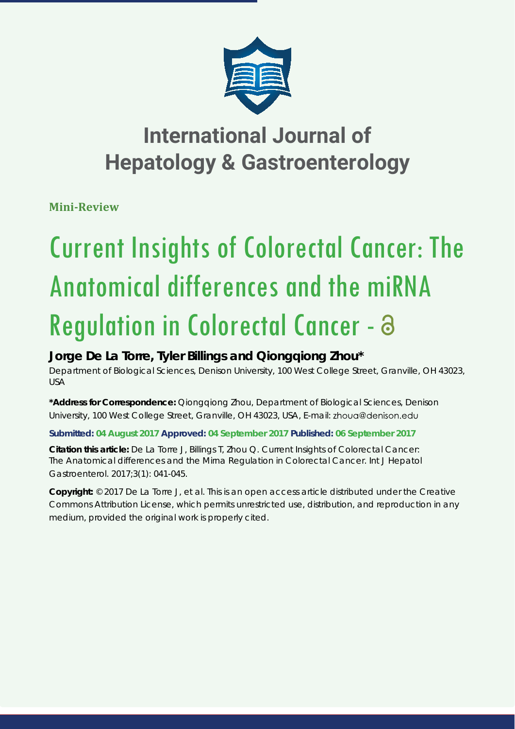

# **International Journal of Hepatology & Gastroenterology**

**Mini-Review**

# Current Insights of Colorectal Cancer: The Anatomical differences and the miRNA Regulation in Colorectal Cancer - a

# **Jorge De La Torre, Tyler Billings and Qiongqiong Zhou\***

*Department of Biological Sciences, Denison University, 100 West College Street, Granville, OH 43023, USA*

**\*Address for Correspondence:** Qiongqiong Zhou, Department of Biological Sciences, Denison University, 100 West College Street, Granville, OH 43023, USA, E-mail:

# **Submitted: 04 August 2017 Approved: 04 September 2017 Published: 06 September 2017**

**Citation this article:** De La Torre J, Billings T, Zhou Q. Current Insights of Colorectal Cancer: The Anatomical differences and the Mirna Regulation in Colorectal Cancer. Int J Hepatol Gastroenterol. 2017;3(1): 041-045.

**Copyright:** © 2017 De La Torre J, et al. This is an open access article distributed under the Creative Commons Attribution License, which permits unrestricted use, distribution, and reproduction in any medium, provided the original work is properly cited.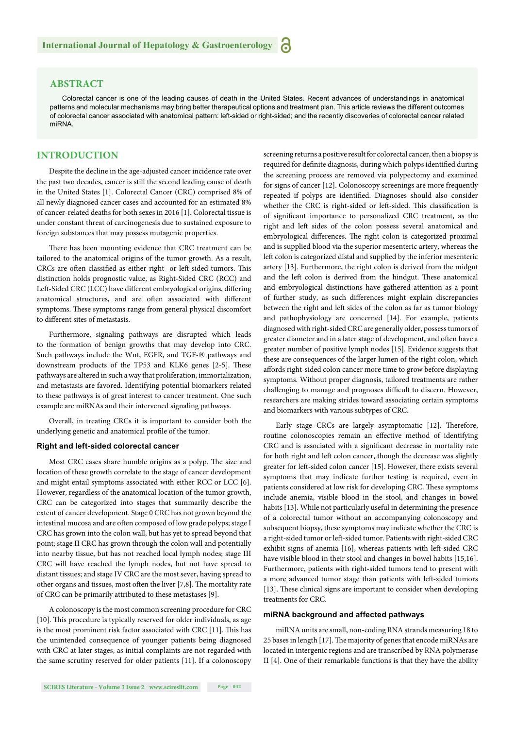# **ABSTRACT**

Colorectal cancer is one of the leading causes of death in the United States. Recent advances of understandings in anatomical patterns and molecular mechanisms may bring better therapeutical options and treatment plan. This article reviews the different outcomes of colorectal cancer associated with anatomical pattern: left-sided or right-sided; and the recently discoveries of colorectal cancer related miRNA.

# **INTRODUCTION**

Despite the decline in the age-adjusted cancer incidence rate over the past two decades, cancer is still the second leading cause of death in the United States [1]. Colorectal Cancer (CRC) comprised 8% of all newly diagnosed cancer cases and accounted for an estimated 8% of cancer-related deaths for both sexes in 2016 [1]. Colorectal tissue is under constant threat of carcinogenesis due to sustained exposure to foreign substances that may possess mutagenic properties.

There has been mounting evidence that CRC treatment can be tailored to the anatomical origins of the tumor growth. As a result, CRCs are often classified as either right- or left-sided tumors. This distinction holds prognostic value, as Right-Sided CRC (RCC) and Left-Sided CRC (LCC) have different embryological origins, differing anatomical structures, and are often associated with different symptoms. These symptoms range from general physical discomfort to different sites of metastasis.

Furthermore, signaling pathways are disrupted which leads to the formation of benign growths that may develop into CRC. Such pathways include the Wnt, EGFR, and TGF-® pathways and downstream products of the TP53 and KLK6 genes [2-5]. These pathways are altered in such a way that proliferation, immortalization, and metastasis are favored. Identifying potential biomarkers related to these pathways is of great interest to cancer treatment. One such example are miRNAs and their intervened signaling pathways.

Overall, in treating CRCs it is important to consider both the underlying genetic and anatomical profile of the tumor.

#### **Right and left-sided colorectal cancer**

Most CRC cases share humble origins as a polyp. The size and location of these growth correlate to the stage of cancer development and might entail symptoms associated with either RCC or LCC [6]. However, regardless of the anatomical location of the tumor growth, CRC can be categorized into stages that summarily describe the extent of cancer development. Stage 0 CRC has not grown beyond the intestinal mucosa and are often composed of low grade polyps; stage I CRC has grown into the colon wall, but has yet to spread beyond that point; stage II CRC has grown through the colon wall and potentially into nearby tissue, but has not reached local lymph nodes; stage III CRC will have reached the lymph nodes, but not have spread to distant tissues; and stage IV CRC are the most sever, having spread to other organs and tissues, most often the liver  $[7,8]$ . The mortality rate of CRC can be primarily attributed to these metastases [9].

A colonoscopy is the most common screening procedure for CRC [10]. This procedure is typically reserved for older individuals, as age is the most prominent risk factor associated with CRC [11]. This has the unintended consequence of younger patients being diagnosed with CRC at later stages, as initial complaints are not regarded with the same scrutiny reserved for older patients [11]. If a colonoscopy

screening returns a positive result for colorectal cancer, then a biopsy is required for definite diagnosis, during which polyps identified during the screening process are removed via polypectomy and examined for signs of cancer [12]. Colonoscopy screenings are more frequently repeated if polyps are identified. Diagnoses should also consider whether the CRC is right-sided or left-sided. This classification is of significant importance to personalized CRC treatment, as the right and left sides of the colon possess several anatomical and embryological differences. The right colon is categorized proximal and is supplied blood via the superior mesenteric artery, whereas the left colon is categorized distal and supplied by the inferior mesenteric artery [13]. Furthermore, the right colon is derived from the midgut and the left colon is derived from the hindgut. These anatomical and embryological distinctions have gathered attention as a point of further study, as such differences might explain discrepancies between the right and left sides of the colon as far as tumor biology and pathophysiology are concerned [14]. For example, patients diagnosed with right-sided CRC are generally older, possess tumors of greater diameter and in a later stage of development, and often have a greater number of positive lymph nodes [15]. Evidence suggests that these are consequences of the larger lumen of the right colon, which affords right-sided colon cancer more time to grow before displaying symptoms. Without proper diagnosis, tailored treatments are rather challenging to manage and prognoses difficult to discern. However, researchers are making strides toward associating certain symptoms and biomarkers with various subtypes of CRC.

Early stage CRCs are largely asymptomatic [12]. Therefore, routine colonoscopies remain an effective method of identifying CRC and is associated with a significant decrease in mortality rate for both right and left colon cancer, though the decrease was slightly greater for left -sided colon cancer [15]. However, there exists several symptoms that may indicate further testing is required, even in patients considered at low risk for developing CRC. These symptoms include anemia, visible blood in the stool, and changes in bowel habits [13]. While not particularly useful in determining the presence of a colorectal tumor without an accompanying colonoscopy and subsequent biopsy, these symptoms may indicate whether the CRC is a right-sided tumor or left -sided tumor. Patients with right-sided CRC exhibit signs of anemia [16], whereas patients with left-sided CRC have visible blood in their stool and changes in bowel habits [15,16]. Furthermore, patients with right-sided tumors tend to present with a more advanced tumor stage than patients with left -sided tumors [13]. These clinical signs are important to consider when developing treatments for CRC.

## **miRNA background and affected pathways**

miRNA units are small, non-coding RNA strands measuring 18 to 25 bases in length [17]. The majority of genes that encode miRNAs are located in intergenic regions and are transcribed by RNA polymerase II [4]. One of their remarkable functions is that they have the ability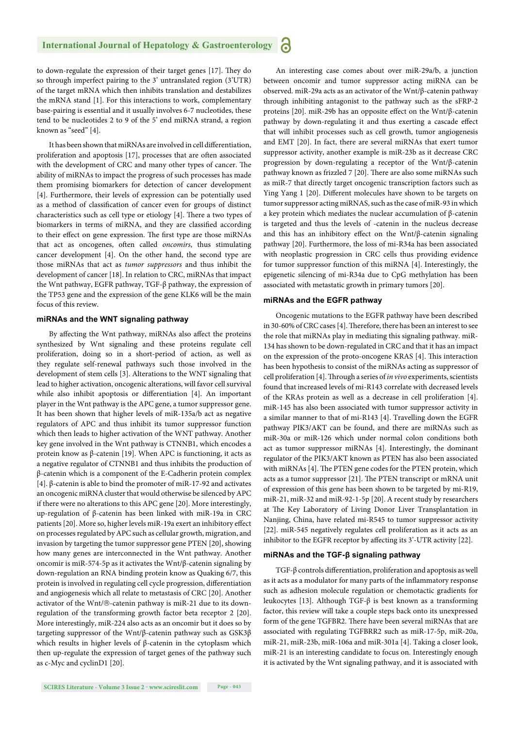to down-regulate the expression of their target genes [17]. They do so through imperfect pairing to the 3' untranslated region (3'UTR) of the target mRNA which then inhibits translation and destabilizes the mRNA stand [1]. For this interactions to work, complementary base-pairing is essential and it usually involves 6-7 nucleotides, these tend to be nucleotides 2 to 9 of the 5' end miRNA strand, a region known as "seed" [4].

It has been shown that miRNAs are involved in cell differentiation, proliferation and apoptosis [17], processes that are often associated with the development of CRC and many other types of cancer. The ability of miRNAs to impact the progress of such processes has made them promising biomarkers for detection of cancer development [4]. Furthermore, their levels of expression can be potentially used as a method of classification of cancer even for groups of distinct characteristics such as cell type or etiology [4]. There a two types of biomarkers in terms of miRNA, and they are classified according to their effect on gene expression. The first type are those miRNAs that act as oncogenes, often called *oncomirs*, thus stimulating cancer development [4]. On the other hand, the second type are those miRNAs that act as *tumor suppressors* and thus inhibit the development of cancer [18]. In relation to CRC, miRNAs that impact the Wnt pathway, EGFR pathway, TGF-β pathway, the expression of the TP53 gene and the expression of the gene KLK6 will be the main focus of this review.

# **miRNAs and the WNT signaling pathway**

By affecting the Wnt pathway, miRNAs also affect the proteins synthesized by Wnt signaling and these proteins regulate cell proliferation, doing so in a short-period of action, as well as they regulate self-renewal pathways such those involved in the development of stem cells [3]. Alterations to the WNT signaling that lead to higher activation, oncogenic alterations, will favor cell survival while also inhibit apoptosis or differentiation [4]. An important player in the Wnt pathway is the APC gene, a tumor suppressor gene. It has been shown that higher levels of miR-135a/b act as negative regulators of APC and thus inhibit its tumor suppressor function which then leads to higher activation of the WNT pathway. Another key gene involved in the Wnt pathway is CTNNB1, which encodes a protein know as β-catenin [19]. When APC is functioning, it acts as a negative regulator of CTNNB1 and thus inhibits the production of β-catenin which is a component of the E-Cadherin protein complex [4]. β-catenin is able to bind the promoter of miR-17-92 and activates an oncogenic miRNA cluster that would otherwise be silenced by APC if there were no alterations to this APC gene [20]. More interestingly, up-regulation of β-catenin has been linked with miR-19a in CRC patients [20]. More so, higher levels miR-19a exert an inhibitory effect on processes regulated by APC such as cellular growth, migration, and invasion by targeting the tumor suppressor gene PTEN [20], showing how many genes are interconnected in the Wnt pathway. Another oncomir is miR-574-5p as it activates the Wnt/β-catenin signaling by down-regulation an RNA binding protein know as Quaking 6/7, this protein is involved in regulating cell cycle progression, differentiation and angiogenesis which all relate to metastasis of CRC [20]. Another activator of the Wnt/®-catenin pathway is miR-21 due to its downregulation of the transforming growth factor beta receptor 2 [20]. More interestingly, miR-224 also acts as an oncomir but it does so by targeting suppressor of the Wnt/β-catenin pathway such as GSK3β which results in higher levels of β-catenin in the cytoplasm which then up-regulate the expression of target genes of the pathway such as c-Myc and cyclinD1 [20].

An interesting case comes about over miR-29a/b, a junction between oncomir and tumor suppressor acting miRNA can be observed. miR-29a acts as an activator of the Wnt/β-catenin pathway through inhibiting antagonist to the pathway such as the sFRP-2 proteins [20]. miR-29b has an opposite effect on the Wnt/β-catenin pathway by down-regulating it and thus exerting a cascade effect that will inhibit processes such as cell growth, tumor angiogenesis and EMT [20]. In fact, there are several miRNAs that exert tumor suppressor activity, another example is miR-23b as it decrease CRC progression by down-regulating a receptor of the Wnt/β-catenin pathway known as frizzled 7 [20]. There are also some miRNAs such as miR-7 that directly target oncogenic transcription factors such as Ying Yang 1 [20]. Different molecules have shown to be targets on tumor suppressor acting miRNAS, such as the case of miR-93 in which a key protein which mediates the nuclear accumulation of β-catenin is targeted and thus the levels of -catenin in the nucleus decrease and this has an inhibitory effect on the Wnt/ $\beta$ -catenin signaling pathway [20]. Furthermore, the loss of mi-R34a has been associated with neoplastic progression in CRC cells thus providing evidence for tumor suppressor function of this miRNA [4]. Interestingly, the epigenetic silencing of mi-R34a due to CpG methylation has been associated with metastatic growth in primary tumors [20].

#### **miRNAs and the EGFR pathway**

Oncogenic mutations to the EGFR pathway have been described in 30-60% of CRC cases [4]. Therefore, there has been an interest to see the role that miRNAs play in mediating this signaling pathway. miR-134 has shown to be down-regulated in CRC and that it has an impact on the expression of the proto-oncogene KRAS [4]. This interaction has been hypothesis to consist of the miRNAs acting as suppressor of cell proliferation [4]. Th rough a series of *in vivo* experiments, scientists found that increased levels of mi-R143 correlate with decreased levels of the KRAs protein as well as a decrease in cell proliferation [4]. miR-145 has also been associated with tumor suppressor activity in a similar manner to that of mi-R143 [4]. Travelling down the EGFR pathway PIK3/AKT can be found, and there are miRNAs such as miR-30a or miR-126 which under normal colon conditions both act as tumor suppressor miRNAs [4]. Interestingly, the dominant regulator of the PIK3/AKT known as PTEN has also been associated with miRNAs [4]. The PTEN gene codes for the PTEN protein, which acts as a tumor suppressor [21]. The PTEN transcript or mRNA unit of expression of this gene has been shown to be targeted by mi-R19, miR-21, miR-32 and miR-92-1-5p [20]. A recent study by researchers at The Key Laboratory of Living Donor Liver Transplantation in Nanjing, China, have related mi-R545 to tumor suppressor activity [22]. miR-545 negatively regulates cell proliferation as it acts as an inhibitor to the EGFR receptor by affecting its 3'-UTR activity [22].

# **miRNAs and the TGF-β signaling pathway**

TGF- $\beta$  controls differentiation, proliferation and apoptosis as well as it acts as a modulator for many parts of the inflammatory response such as adhesion molecule regulation or chemotactic gradients for leukocytes [13]. Although TGF-β is best known as a transforming factor, this review will take a couple steps back onto its unexpressed form of the gene TGFBR2. There have been several miRNAs that are associated with regulating TGFBRR2 such as miR-17-5p, miR-20a, miR-21, miR-23b, miR-106a and miR-301a [4]. Taking a closer look, miR-21 is an interesting candidate to focus on. Interestingly enough it is activated by the Wnt signaling pathway, and it is associated with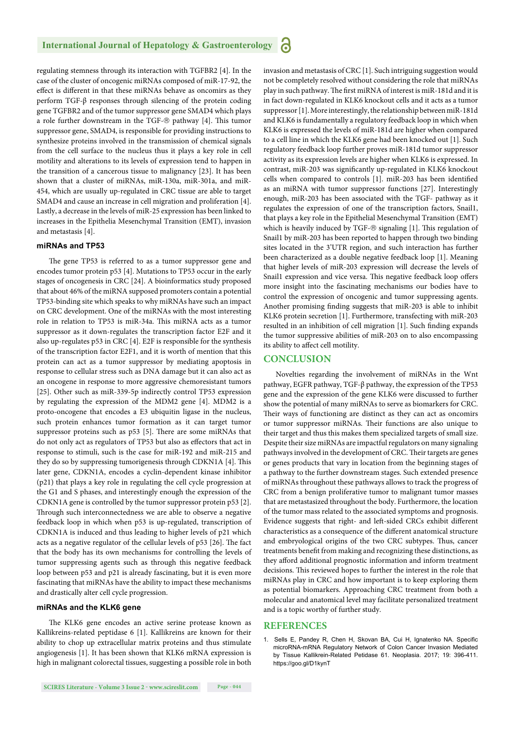regulating stemness through its interaction with TGFBR2 [4]. In the case of the cluster of oncogenic miRNAs composed of miR-17-92, the effect is different in that these miRNAs behave as oncomirs as they perform TGF-β responses through silencing of the protein coding gene TGFBR2 and of the tumor suppressor gene SMAD4 which plays a role further downstream in the TGF- $\circledR$  pathway [4]. This tumor suppressor gene, SMAD4, is responsible for providing instructions to synthesize proteins involved in the transmission of chemical signals from the cell surface to the nucleus thus it plays a key role in cell motility and alterations to its levels of expression tend to happen in the transition of a cancerous tissue to malignancy [23]. It has been shown that a cluster of miRNAs, miR-130a, miR-301a, and miR-454, which are usually up-regulated in CRC tissue are able to target SMAD4 and cause an increase in cell migration and proliferation [4]. Lastly, a decrease in the levels of miR-25 expression has been linked to increases in the Epithelia Mesenchymal Transition (EMT), invasion and metastasis [4].

# **miRNAs and TP53**

The gene TP53 is referred to as a tumor suppressor gene and encodes tumor protein p53 [4]. Mutations to TP53 occur in the early stages of oncogenesis in CRC [24]. A bioinformatics study proposed that about 46% of the miRNA supposed promoters contain a potential TP53-binding site which speaks to why miRNAs have such an impact on CRC development. One of the miRNAs with the most interesting role in relation to TP53 is miR-34a. This miRNA acts as a tumor suppressor as it down-regulates the transcription factor E2F and it also up-regulates p53 in CRC [4]. E2F is responsible for the synthesis of the transcription factor E2F1, and it is worth of mention that this protein can act as a tumor suppressor by mediating apoptosis in response to cellular stress such as DNA damage but it can also act as an oncogene in response to more aggressive chemoresistant tumors [25]. Other such as miR-339-5p indirectly control TP53 expression by regulating the expression of the MDM2 gene [4]. MDM2 is a proto-oncogene that encodes a E3 ubiquitin ligase in the nucleus, such protein enhances tumor formation as it can target tumor suppressor proteins such as p53 [5]. There are some miRNAs that do not only act as regulators of TP53 but also as effectors that act in response to stimuli, such is the case for miR-192 and miR-215 and they do so by suppressing tumorigenesis through CDKN1A [4]. This later gene, CDKN1A, encodes a cyclin-dependent kinase inhibitor (p21) that plays a key role in regulating the cell cycle progression at the G1 and S phases, and interestingly enough the expression of the CDKN1A gene is controlled by the tumor suppressor protein p53 [2]. Through such interconnectedness we are able to observe a negative feedback loop in which when p53 is up-regulated, transcription of CDKN1A is induced and thus leading to higher levels of p21 which acts as a negative regulator of the cellular levels of p53 [26]. The fact that the body has its own mechanisms for controlling the levels of tumor suppressing agents such as through this negative feedback loop between p53 and p21 is already fascinating, but it is even more fascinating that miRNAs have the ability to impact these mechanisms and drastically alter cell cycle progression.

## **miRNAs and the KLK6 gene**

The KLK6 gene encodes an active serine protease known as Kallikreins-related peptidase 6 [1]. Kallikreins are known for their ability to chop up extracellular matrix proteins and thus stimulate angiogenesis [1]. It has been shown that KLK6 mRNA expression is high in malignant colorectal tissues, suggesting a possible role in both invasion and metastasis of CRC [1]. Such intriguing suggestion would not be completely resolved without considering the role that miRNAs play in such pathway. The first miRNA of interest is miR-181d and it is in fact down-regulated in KLK6 knockout cells and it acts as a tumor suppressor [1]. More interestingly, the relationship between miR-181d and KLK6 is fundamentally a regulatory feedback loop in which when KLK6 is expressed the levels of miR-181d are higher when compared to a cell line in which the KLK6 gene had been knocked out [1]. Such regulatory feedback loop further proves miR-181d tumor suppressor activity as its expression levels are higher when KLK6 is expressed. In contrast, miR-203 was significantly up-regulated in KLK6 knockout cells when compared to controls [1]. miR-203 has been identified as an miRNA with tumor suppressor functions [27]. Interestingly enough, miR-203 has been associated with the TGF- pathway as it regulates the expression of one of the transcription factors, Snail1, that plays a key role in the Epithelial Mesenchymal Transition (EMT) which is heavily induced by TGF- $\circledR$  signaling [1]. This regulation of Snail1 by miR-203 has been reported to happen through two binding sites located in the 3'UTR region, and such interaction has further been characterized as a double negative feedback loop [1]. Meaning that higher levels of miR-203 expression will decrease the levels of Snail1 expression and vice versa. This negative feedback loop offers more insight into the fascinating mechanisms our bodies have to control the expression of oncogenic and tumor suppressing agents. Another promising finding suggests that miR-203 is able to inhibit KLK6 protein secretion [1]. Furthermore, transfecting with miR-203 resulted in an inhibition of cell migration [1]. Such finding expands the tumor suppressive abilities of miR-203 on to also encompassing its ability to affect cell motility.

# **CONCLUSION**

Novelties regarding the involvement of miRNAs in the Wnt pathway, EGFR pathway, TGF-β pathway, the expression of the TP53 gene and the expression of the gene KLK6 were discussed to further show the potential of many miRNAs to serve as biomarkers for CRC. Their ways of functioning are distinct as they can act as oncomirs or tumor suppressor miRNAs. Their functions are also unique to their target and thus this makes them specialized targets of small size. Despite their size miRNAs are impactful regulators on many signaling pathways involved in the development of CRC. Their targets are genes or genes products that vary in location from the beginning stages of a pathway to the further downstream stages. Such extended presence of miRNAs throughout these pathways allows to track the progress of CRC from a benign proliferative tumor to malignant tumor masses that are metastasized throughout the body. Furthermore, the location of the tumor mass related to the associated symptoms and prognosis. Evidence suggests that right- and left-sided CRCs exhibit different characteristics as a consequence of the different anatomical structure and embryological origins of the two CRC subtypes. Thus, cancer treatments benefit from making and recognizing these distinctions, as they afford additional prognostic information and inform treatment decisions. This reviewed hopes to further the interest in the role that miRNAs play in CRC and how important is to keep exploring them as potential biomarkers. Approaching CRC treatment from both a molecular and anatomical level may facilitate personalized treatment and is a topic worthy of further study.

# **REFERENCES**

Sells E, Pandey R, Chen H, Skovan BA, Cui H, Ignatenko NA. Specific microRNA-mRNA Regulatory Network of Colon Cancer Invasion Mediated by Tissue Kallikrein-Related Petidase 61. Neoplasia. 2017; 19: 396-411. https://goo.gl/D1kynT